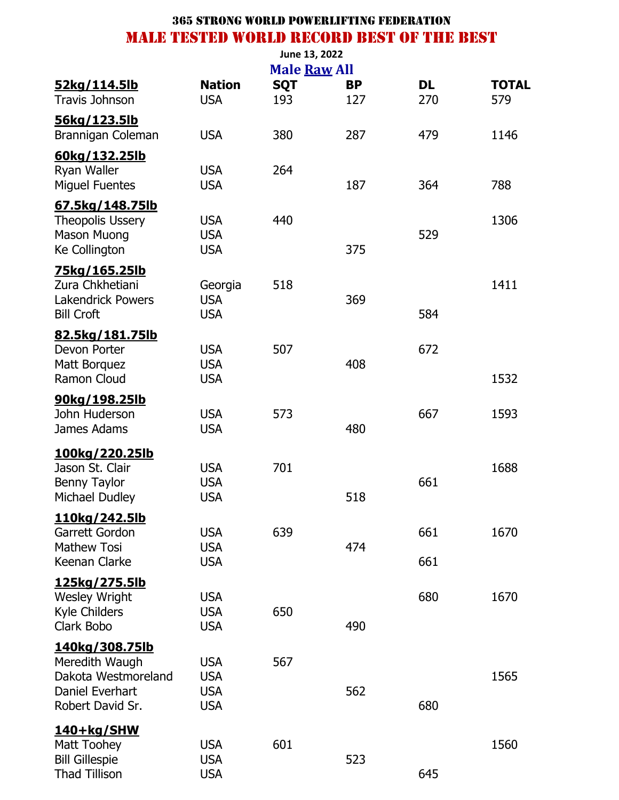| 52kg/114.5lb<br><b>Travis Johnson</b>                                                                 | <b>Nation</b><br><b>USA</b>                          | <b>Male Raw All</b><br><b>SQT</b><br>193 | <b>BP</b><br>127 | <b>DL</b><br>270 | <b>TOTAL</b><br>579 |
|-------------------------------------------------------------------------------------------------------|------------------------------------------------------|------------------------------------------|------------------|------------------|---------------------|
| <u>56kg/123.5lb</u><br>Brannigan Coleman                                                              | <b>USA</b>                                           | 380                                      | 287              | 479              | 1146                |
| 60kg/132.25lb<br>Ryan Waller<br><b>Miguel Fuentes</b>                                                 | <b>USA</b><br><b>USA</b>                             | 264                                      | 187              | 364              | 788                 |
| 67.5kg/148.75lb<br><b>Theopolis Ussery</b><br><b>Mason Muong</b><br><b>Ke Collington</b>              | <b>USA</b><br><b>USA</b><br><b>USA</b>               | 440                                      | 375              | 529              | 1306                |
| 75kg/165.25lb<br>Zura Chkhetiani<br><b>Lakendrick Powers</b><br><b>Bill Croft</b>                     | Georgia<br><b>USA</b><br><b>USA</b>                  | 518                                      | 369              | 584              | 1411                |
| 82.5kg/181.75lb<br>Devon Porter<br>Matt Borquez<br>Ramon Cloud                                        | <b>USA</b><br><b>USA</b><br><b>USA</b>               | 507                                      | 408              | 672              | 1532                |
| 90kg/198.25lb<br>John Huderson<br>James Adams                                                         | <b>USA</b><br><b>USA</b>                             | 573                                      | 480              | 667              | 1593                |
| <u>100kg/220.25lb</u><br>Jason St. Clair<br><b>Benny Taylor</b><br>Michael Dudley                     | <b>USA</b><br><b>USA</b><br><b>USA</b>               | 701                                      | 518              | 661              | 1688                |
| 110kg/242.5lb<br>Garrett Gordon<br><b>Mathew Tosi</b><br>Keenan Clarke                                | <b>USA</b><br><b>USA</b><br><b>USA</b>               | 639                                      | 474              | 661<br>661       | 1670                |
| 125kg/275.5lb<br><b>Wesley Wright</b><br>Kyle Childers<br>Clark Bobo                                  | <b>USA</b><br><b>USA</b><br><b>USA</b>               | 650                                      | 490              | 680              | 1670                |
| <u>140kg/308.75lb</u><br>Meredith Waugh<br>Dakota Westmoreland<br>Daniel Everhart<br>Robert David Sr. | <b>USA</b><br><b>USA</b><br><b>USA</b><br><b>USA</b> | 567                                      | 562              | 680              | 1565                |
| <u>140+kg/SHW</u><br>Matt Toohey<br><b>Bill Gillespie</b><br><b>Thad Tillison</b>                     | <b>USA</b><br><b>USA</b><br><b>USA</b>               | 601                                      | 523              | 645              | 1560                |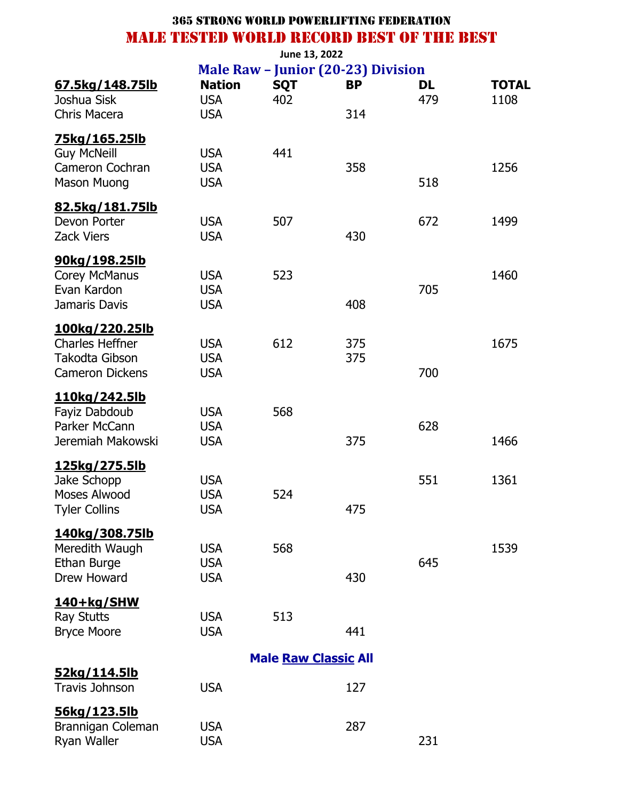|                                                                                      | June 13, 2022                          |                             |                                                        |                  |                      |  |  |  |  |  |
|--------------------------------------------------------------------------------------|----------------------------------------|-----------------------------|--------------------------------------------------------|------------------|----------------------|--|--|--|--|--|
| <u>67.5kg/148.75lb</u><br>Joshua Sisk                                                | <b>Nation</b><br><b>USA</b>            | <b>SQT</b><br>402           | <b>Male Raw - Junior (20-23) Division</b><br><b>BP</b> | <b>DL</b><br>479 | <b>TOTAL</b><br>1108 |  |  |  |  |  |
| Chris Macera                                                                         | <b>USA</b>                             |                             | 314                                                    |                  |                      |  |  |  |  |  |
| <u>75kg/165.25lb</u><br><b>Guy McNeill</b><br>Cameron Cochran<br><b>Mason Muong</b>  | <b>USA</b><br><b>USA</b><br><b>USA</b> | 441                         | 358                                                    | 518              | 1256                 |  |  |  |  |  |
| 82.5kg/181.75lb<br>Devon Porter<br><b>Zack Viers</b>                                 | <b>USA</b><br><b>USA</b>               | 507                         | 430                                                    | 672              | 1499                 |  |  |  |  |  |
| 90kg/198.25lb<br>Corey McManus<br>Evan Kardon<br>Jamaris Davis                       | <b>USA</b><br><b>USA</b><br><b>USA</b> | 523                         | 408                                                    | 705              | 1460                 |  |  |  |  |  |
| 100kg/220.25lb<br><b>Charles Heffner</b><br>Takodta Gibson<br><b>Cameron Dickens</b> | <b>USA</b><br><b>USA</b><br><b>USA</b> | 612                         | 375<br>375                                             | 700              | 1675                 |  |  |  |  |  |
| <u>110kg/242.5lb</u><br>Fayiz Dabdoub<br>Parker McCann<br>Jeremiah Makowski          | <b>USA</b><br><b>USA</b><br><b>USA</b> | 568                         | 375                                                    | 628              | 1466                 |  |  |  |  |  |
| 125kg/275.5lb<br>Jake Schopp<br>Moses Alwood<br><b>Tyler Collins</b>                 | <b>USA</b><br><b>USA</b><br><b>USA</b> | 524                         | 475                                                    | 551              | 1361                 |  |  |  |  |  |
| 140kg/308.75lb<br>Meredith Waugh<br>Ethan Burge<br>Drew Howard                       | <b>USA</b><br><b>USA</b><br><b>USA</b> | 568                         | 430                                                    | 645              | 1539                 |  |  |  |  |  |
| <u>140+kg/SHW</u><br><b>Ray Stutts</b><br><b>Bryce Moore</b>                         | <b>USA</b><br><b>USA</b>               | 513                         | 441                                                    |                  |                      |  |  |  |  |  |
|                                                                                      |                                        | <b>Male Raw Classic All</b> |                                                        |                  |                      |  |  |  |  |  |
| 52kg/114.5lb<br>Travis Johnson                                                       | <b>USA</b>                             |                             | 127                                                    |                  |                      |  |  |  |  |  |
| <u>56kg/123.5lb</u><br>Brannigan Coleman<br>Ryan Waller                              | <b>USA</b><br><b>USA</b>               |                             | 287                                                    | 231              |                      |  |  |  |  |  |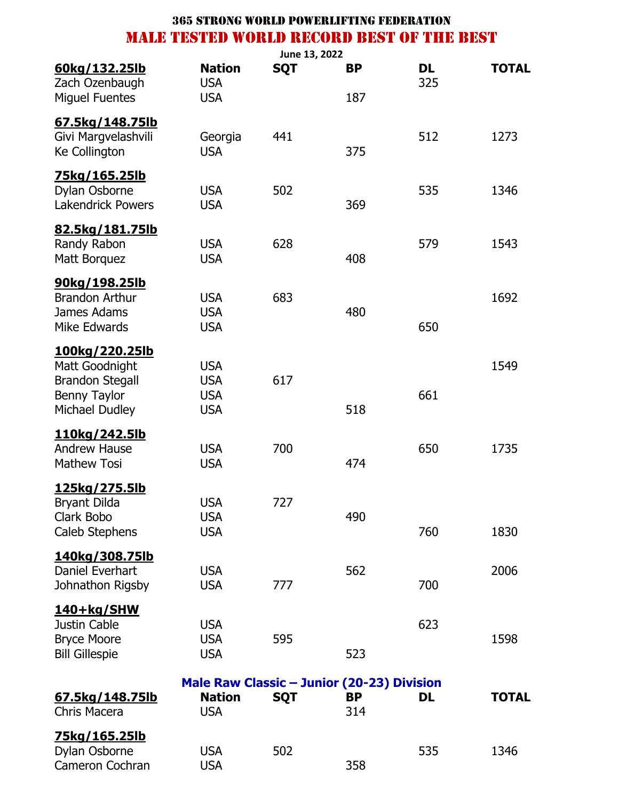|                                                                       |                             | June 13, 2022 |                                                         |           |              |
|-----------------------------------------------------------------------|-----------------------------|---------------|---------------------------------------------------------|-----------|--------------|
| <u>60kg/132.25lb</u><br>Zach Ozenbaugh                                | <b>Nation</b><br><b>USA</b> | <b>SQT</b>    | <b>BP</b>                                               | DL<br>325 | <b>TOTAL</b> |
| <b>Miguel Fuentes</b>                                                 | <b>USA</b>                  |               | 187                                                     |           |              |
| <u>67.5kg/148.75lb</u><br>Givi Margvelashvili<br><b>Ke Collington</b> | Georgia<br><b>USA</b>       | 441           | 375                                                     | 512       | 1273         |
|                                                                       |                             |               |                                                         |           |              |
| <u>75kg/165.25lb</u><br>Dylan Osborne<br><b>Lakendrick Powers</b>     | <b>USA</b><br><b>USA</b>    | 502           | 369                                                     | 535       | 1346         |
| 82.5kg/181.75lb                                                       |                             |               |                                                         |           |              |
| Randy Rabon<br>Matt Borguez                                           | <b>USA</b><br><b>USA</b>    | 628           | 408                                                     | 579       | 1543         |
| <u>90kg/198.25lb</u>                                                  |                             |               |                                                         |           |              |
| <b>Brandon Arthur</b><br>James Adams                                  | <b>USA</b><br><b>USA</b>    | 683           | 480                                                     |           | 1692         |
| Mike Edwards                                                          | <b>USA</b>                  |               |                                                         | 650       |              |
| <u>100kg/220.25lb</u><br>Matt Goodnight                               | <b>USA</b>                  |               |                                                         |           | 1549         |
| <b>Brandon Stegall</b>                                                | <b>USA</b>                  | 617           |                                                         |           |              |
| Benny Taylor                                                          | <b>USA</b>                  |               |                                                         | 661       |              |
| Michael Dudley                                                        | <b>USA</b>                  |               | 518                                                     |           |              |
| <u>110kg/242.5lb</u>                                                  |                             |               |                                                         |           |              |
| <b>Andrew Hause</b>                                                   | <b>USA</b>                  | 700           |                                                         | 650       | 1735         |
| <b>Mathew Tosi</b>                                                    | <b>USA</b>                  |               | 474                                                     |           |              |
| <u>125kg/275.5lb</u>                                                  |                             |               |                                                         |           |              |
| <b>Bryant Dilda</b>                                                   | <b>USA</b>                  | 727           |                                                         |           |              |
| Clark Bobo                                                            | <b>USA</b>                  |               | 490                                                     |           |              |
| Caleb Stephens                                                        | <b>USA</b>                  |               |                                                         | 760       | 1830         |
| <u>140kg/308.75lb</u>                                                 |                             |               |                                                         |           |              |
| Daniel Everhart                                                       | <b>USA</b>                  |               | 562                                                     |           | 2006         |
| Johnathon Rigsby                                                      | <b>USA</b>                  | 777           |                                                         | 700       |              |
| 140+kg/SHW                                                            |                             |               |                                                         |           |              |
| Justin Cable                                                          | <b>USA</b>                  |               |                                                         | 623       |              |
| <b>Bryce Moore</b>                                                    | <b>USA</b>                  | 595           |                                                         |           | 1598         |
| <b>Bill Gillespie</b>                                                 | <b>USA</b>                  |               | 523                                                     |           |              |
|                                                                       |                             |               |                                                         |           |              |
| 67.5kg/148.75lb                                                       | <b>Nation</b>               | <b>SQT</b>    | Male Raw Classic - Junior (20-23) Division<br><b>BP</b> | DL        | <b>TOTAL</b> |
| Chris Macera                                                          | <b>USA</b>                  |               | 314                                                     |           |              |
| <u>75kg/165.25lb</u>                                                  |                             |               |                                                         |           |              |
| Dylan Osborne                                                         | <b>USA</b>                  | 502           |                                                         | 535       | 1346         |
| Cameron Cochran                                                       | <b>USA</b>                  |               | 358                                                     |           |              |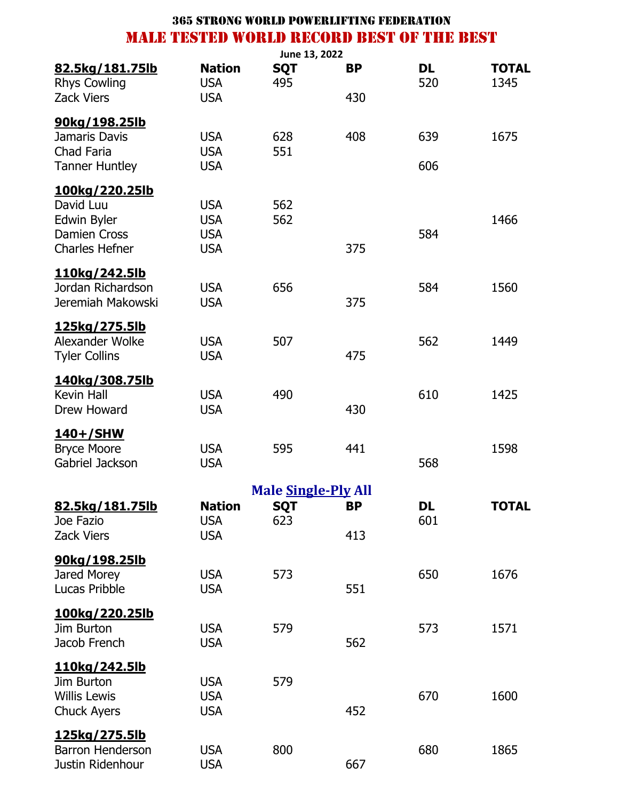|                                              |                             | June 13, 2022              |           |           |                      |
|----------------------------------------------|-----------------------------|----------------------------|-----------|-----------|----------------------|
| 82.5kg/181.75lb<br><b>Rhys Cowling</b>       | <b>Nation</b><br><b>USA</b> | <b>SQT</b><br>495          | <b>BP</b> | DL<br>520 | <b>TOTAL</b><br>1345 |
| <b>Zack Viers</b>                            | <b>USA</b>                  |                            | 430       |           |                      |
| <u>90kg/198.25lb</u>                         |                             |                            |           |           |                      |
| Jamaris Davis                                | <b>USA</b>                  | 628                        | 408       | 639       | 1675                 |
| <b>Chad Faria</b>                            | <b>USA</b>                  | 551                        |           |           |                      |
| <b>Tanner Huntley</b>                        | <b>USA</b>                  |                            |           | 606       |                      |
| <u>100kg/220.25lb</u>                        |                             |                            |           |           |                      |
| David Luu                                    | <b>USA</b>                  | 562                        |           |           |                      |
| Edwin Byler                                  | <b>USA</b>                  | 562                        |           |           | 1466                 |
| <b>Damien Cross</b><br><b>Charles Hefner</b> | <b>USA</b><br><b>USA</b>    |                            | 375       | 584       |                      |
|                                              |                             |                            |           |           |                      |
| <u>110kg/242.5lb</u>                         |                             |                            |           |           |                      |
| Jordan Richardson                            | <b>USA</b>                  | 656                        |           | 584       | 1560                 |
| Jeremiah Makowski                            | <b>USA</b>                  |                            | 375       |           |                      |
| <u>125kg/275.5lb</u>                         |                             |                            |           |           |                      |
| Alexander Wolke                              | <b>USA</b>                  | 507                        |           | 562       | 1449                 |
| <b>Tyler Collins</b>                         | <b>USA</b>                  |                            | 475       |           |                      |
| 140kg/308.75lb                               |                             |                            |           |           |                      |
| Kevin Hall                                   | <b>USA</b>                  | 490                        |           | 610       | 1425                 |
| Drew Howard                                  | <b>USA</b>                  |                            | 430       |           |                      |
| <u>140+/SHW</u>                              |                             |                            |           |           |                      |
| <b>Bryce Moore</b>                           | <b>USA</b>                  | 595                        | 441       |           | 1598                 |
| Gabriel Jackson                              | <b>USA</b>                  |                            |           | 568       |                      |
|                                              |                             | <b>Male Single-Ply All</b> |           |           |                      |
| 82.5kg/181.75lb                              | <b>Nation</b>               | SQT                        | ВP        | DL        | TOTAL                |
| Joe Fazio                                    | <b>USA</b>                  | 623                        |           | 601       |                      |
| <b>Zack Viers</b>                            | <b>USA</b>                  |                            | 413       |           |                      |
| 90kg/198.25lb                                |                             |                            |           |           |                      |
| Jared Morey                                  | <b>USA</b>                  | 573                        |           | 650       | 1676                 |
| Lucas Pribble                                | <b>USA</b>                  |                            | 551       |           |                      |
| 100kg/220.25lb                               |                             |                            |           |           |                      |
| Jim Burton                                   | <b>USA</b>                  | 579                        |           | 573       | 1571                 |
| Jacob French                                 | <b>USA</b>                  |                            | 562       |           |                      |
| <u>110kg/242.5lb</u>                         |                             |                            |           |           |                      |
| Jim Burton                                   | <b>USA</b>                  | 579                        |           |           |                      |
| <b>Willis Lewis</b>                          | <b>USA</b>                  |                            |           | 670       | 1600                 |
| <b>Chuck Ayers</b>                           | <b>USA</b>                  |                            | 452       |           |                      |
| <u>125kg/275.5lb</u>                         |                             |                            |           |           |                      |
| <b>Barron Henderson</b>                      | <b>USA</b>                  | 800                        |           | 680       | 1865                 |
| Justin Ridenhour                             | <b>USA</b>                  |                            | 667       |           |                      |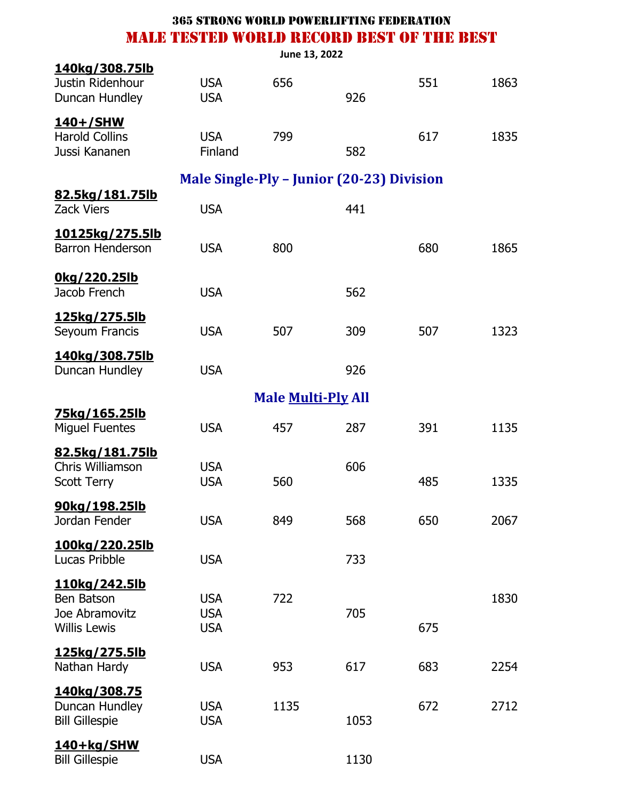|                                                                      |                                           | June 13, 2022             |      |     |      |
|----------------------------------------------------------------------|-------------------------------------------|---------------------------|------|-----|------|
| <u>140kg/308.75lb</u><br>Justin Ridenhour<br>Duncan Hundley          | <b>USA</b><br><b>USA</b>                  | 656                       | 926  | 551 | 1863 |
| <u>140+/SHW</u><br><b>Harold Collins</b><br>Jussi Kananen            | <b>USA</b><br>Finland                     | 799                       | 582  | 617 | 1835 |
|                                                                      | Male Single-Ply - Junior (20-23) Division |                           |      |     |      |
| 82.5kg/181.75lb<br><b>Zack Viers</b>                                 | <b>USA</b>                                |                           | 441  |     |      |
| <u>10125kg/275.5lb</u><br><b>Barron Henderson</b>                    | <b>USA</b>                                | 800                       |      | 680 | 1865 |
| Okg/220.25lb<br>Jacob French                                         | <b>USA</b>                                |                           | 562  |     |      |
| <u>125kg/275.5lb</u><br>Seyoum Francis                               | <b>USA</b>                                | 507                       | 309  | 507 | 1323 |
| <u>140kg/308.75lb</u><br>Duncan Hundley                              | <b>USA</b>                                |                           | 926  |     |      |
|                                                                      |                                           | <b>Male Multi-Ply All</b> |      |     |      |
| <u>75kg/165.25lb</u><br><b>Miguel Fuentes</b>                        | <b>USA</b>                                | 457                       | 287  | 391 | 1135 |
| 82.5kg/181.75lb<br>Chris Williamson<br><b>Scott Terry</b>            | <b>USA</b><br><b>USA</b>                  | 560                       | 606  | 485 | 1335 |
| 90kg/198.25lb<br>Jordan Fender                                       | <b>USA</b>                                | 849                       | 568  | 650 | 2067 |
| <u>100kg/220.25lb</u><br>Lucas Pribble                               | <b>USA</b>                                |                           | 733  |     |      |
| 110kg/242.5lb<br>Ben Batson<br>Joe Abramovitz<br><b>Willis Lewis</b> | <b>USA</b><br><b>USA</b><br><b>USA</b>    | 722                       | 705  | 675 | 1830 |
| 125kg/275.5lb<br>Nathan Hardy                                        | <b>USA</b>                                | 953                       | 617  | 683 | 2254 |
| <u>140kg/308.75</u><br>Duncan Hundley<br><b>Bill Gillespie</b>       | <b>USA</b><br><b>USA</b>                  | 1135                      | 1053 | 672 | 2712 |
| 140+kg/SHW<br><b>Bill Gillespie</b>                                  | <b>USA</b>                                |                           | 1130 |     |      |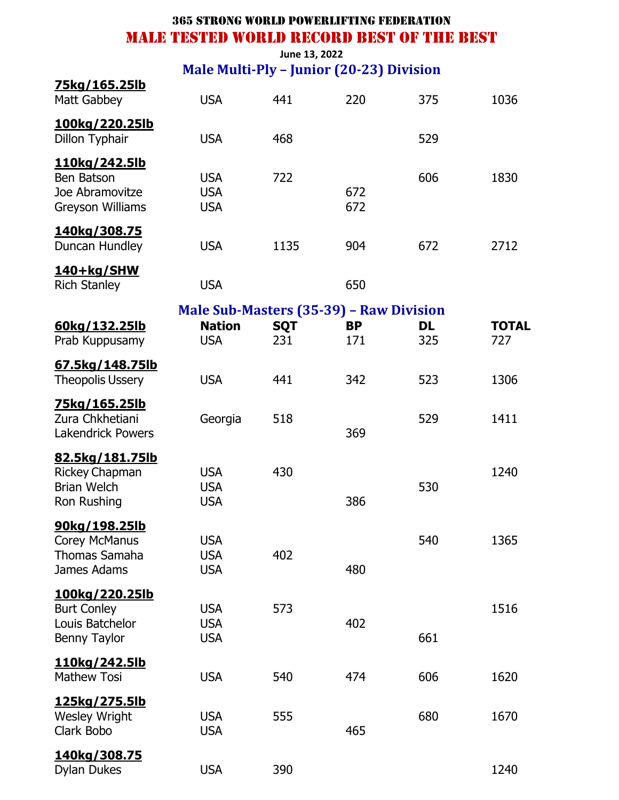**June 13, 2022 Male Multi-Ply – Junior (20-23) Division**

| 75kg/165.25lb                                                                  |                                                                        |                   |                  |                  |                     |
|--------------------------------------------------------------------------------|------------------------------------------------------------------------|-------------------|------------------|------------------|---------------------|
| Matt Gabbey                                                                    | <b>USA</b>                                                             | 441               | 220              | 375              | 1036                |
| 100kg/220.25lb<br>Dillon Typhair                                               | <b>USA</b>                                                             | 468               |                  | 529              |                     |
| <u>110kg/242.5lb</u><br>Ben Batson<br>Joe Abramovitze<br>Greyson Williams      | <b>USA</b><br><b>USA</b><br><b>USA</b>                                 | 722               | 672<br>672       | 606              | 1830                |
| 140kg/308.75<br>Duncan Hundley                                                 | <b>USA</b>                                                             | 1135              | 904              | 672              | 2712                |
| 140+kg/SHW<br><b>Rich Stanley</b>                                              | <b>USA</b>                                                             |                   | 650              |                  |                     |
| 60kg/132.25lb<br>Prab Kuppusamy                                                | Male Sub-Masters (35-39) - Raw Division<br><b>Nation</b><br><b>USA</b> | <b>SQT</b><br>231 | <b>BP</b><br>171 | <b>DL</b><br>325 | <b>TOTAL</b><br>727 |
| 67.5kg/148.75lb<br><b>Theopolis Ussery</b>                                     | <b>USA</b>                                                             | 441               | 342              | 523              | 1306                |
| <u>75kg/165.25lb</u><br>Zura Chkhetiani<br><b>Lakendrick Powers</b>            | Georgia                                                                | 518               | 369              | 529              | 1411                |
| 82.5kg/181.75lb<br><b>Rickey Chapman</b><br><b>Brian Welch</b><br>Ron Rushing  | <b>USA</b><br><b>USA</b><br><b>USA</b>                                 | 430               | 386              | 530              | 1240                |
| 90kg/198.25lb<br>Corey McManus<br><b>Thomas Samaha</b><br>James Adams          | <b>USA</b><br><b>USA</b><br><b>USA</b>                                 | 402               | 480              | 540              | 1365                |
| <u>100kg/220.25lb</u><br><b>Burt Conley</b><br>Louis Batchelor<br>Benny Taylor | <b>USA</b><br><b>USA</b><br><b>USA</b>                                 | 573               | 402              | 661              | 1516                |
| <u>110kg/242.5lb</u><br><b>Mathew Tosi</b>                                     | <b>USA</b>                                                             | 540               | 474              | 606              | 1620                |
| <u>125kg/275.5lb</u><br><b>Wesley Wright</b><br>Clark Bobo                     | <b>USA</b><br><b>USA</b>                                               | 555               | 465              | 680              | 1670                |
| <u>140kg/308.75</u><br><b>Dylan Dukes</b>                                      | <b>USA</b>                                                             | 390               |                  |                  | 1240                |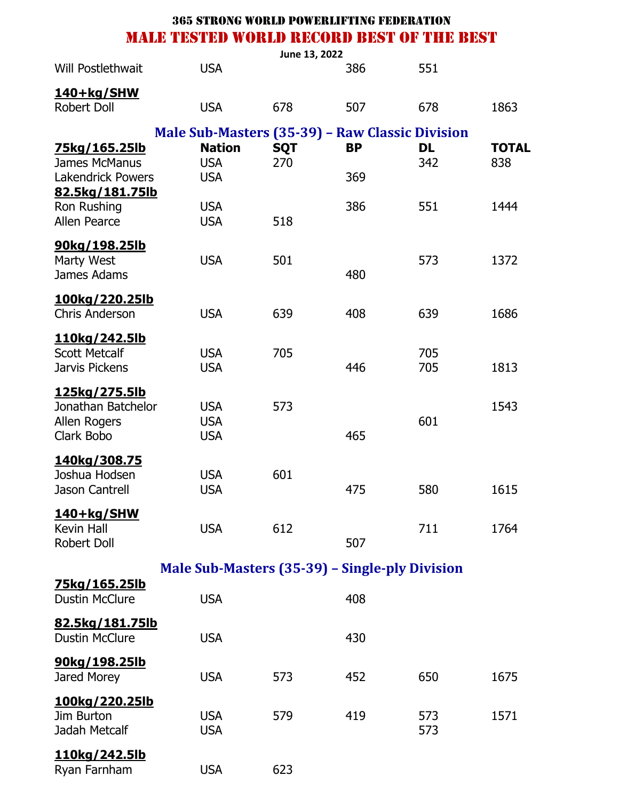|                                                                          |                                                 | June 13, 2022     |           |                  |                     |
|--------------------------------------------------------------------------|-------------------------------------------------|-------------------|-----------|------------------|---------------------|
| Will Postlethwait                                                        | <b>USA</b>                                      |                   | 386       | 551              |                     |
| 140+kg/SHW<br><b>Robert Doll</b>                                         | <b>USA</b>                                      | 678               | 507       | 678              | 1863                |
|                                                                          | Male Sub-Masters (35-39) - Raw Classic Division |                   |           |                  |                     |
| <u>75kg/165.25lb</u><br><b>James McManus</b>                             | <b>Nation</b><br><b>USA</b>                     | <b>SQT</b><br>270 | <b>BP</b> | <b>DL</b><br>342 | <b>TOTAL</b><br>838 |
| <b>Lakendrick Powers</b>                                                 | <b>USA</b>                                      |                   | 369       |                  |                     |
| 82.5kg/181.75lb<br>Ron Rushing                                           | <b>USA</b>                                      |                   | 386       | 551              | 1444                |
| Allen Pearce                                                             | <b>USA</b>                                      | 518               |           |                  |                     |
| 90kg/198.25lb<br>Marty West<br>James Adams                               | <b>USA</b>                                      | 501               | 480       | 573              | 1372                |
| <u>100kg/220.25lb</u><br><b>Chris Anderson</b>                           | <b>USA</b>                                      | 639               | 408       | 639              | 1686                |
| 110kg/242.5lb<br><b>Scott Metcalf</b><br>Jarvis Pickens                  | <b>USA</b><br><b>USA</b>                        | 705               | 446       | 705<br>705       | 1813                |
| <u>125kg/275.5lb</u><br>Jonathan Batchelor<br>Allen Rogers<br>Clark Bobo | <b>USA</b><br><b>USA</b><br><b>USA</b>          | 573               | 465       | 601              | 1543                |
| 140kg/308.75<br>Joshua Hodsen<br>Jason Cantrell                          | <b>USA</b><br><b>USA</b>                        | 601               | 475       | 580              | 1615                |
| <u>140+kg/SHW</u><br>Kevin Hall<br><b>Robert Doll</b>                    | <b>USA</b>                                      | 612               | 507       | 711              | 1764                |
|                                                                          | Male Sub-Masters (35-39) – Single-ply Division  |                   |           |                  |                     |
| 75kg/165.25lb<br><b>Dustin McClure</b>                                   | <b>USA</b>                                      |                   | 408       |                  |                     |
| <u>82.5kg/181.75lb</u><br><b>Dustin McClure</b>                          | <b>USA</b>                                      |                   | 430       |                  |                     |
| <u>90kg/198.25lb</u><br>Jared Morey                                      | <b>USA</b>                                      | 573               | 452       | 650              | 1675                |
| <u>100kg/220.25lb</u><br>Jim Burton<br>Jadah Metcalf                     | <b>USA</b><br><b>USA</b>                        | 579               | 419       | 573<br>573       | 1571                |
| <u>110kg/242.5lb</u>                                                     |                                                 |                   |           |                  |                     |

Ryan Farnham USA 623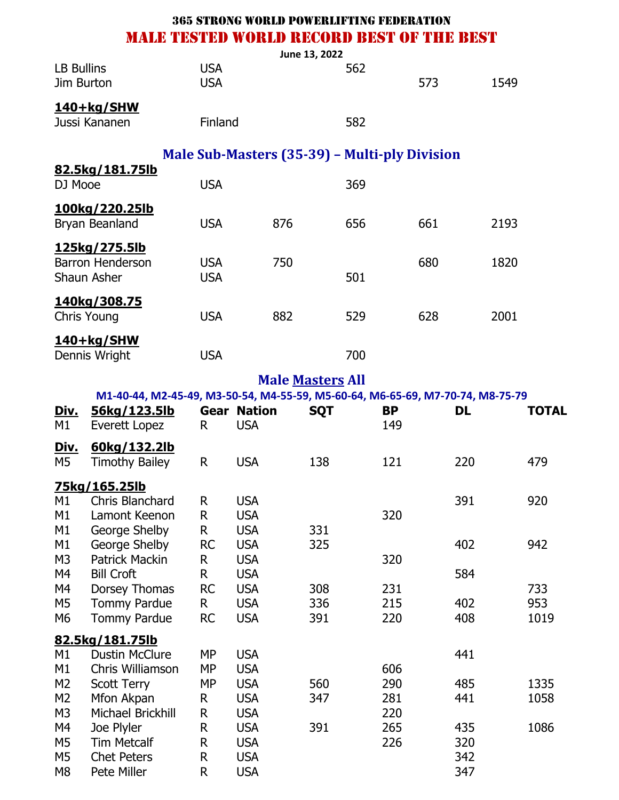|                                                                            |                                                                                            | <b>365 STRONG WORLD POWERLIFTING FEDERATION</b> |                                                                    |     |                         |     |                   |     |                          |      |                    |
|----------------------------------------------------------------------------|--------------------------------------------------------------------------------------------|-------------------------------------------------|--------------------------------------------------------------------|-----|-------------------------|-----|-------------------|-----|--------------------------|------|--------------------|
|                                                                            | MALE TESTED WORLD RECORD BEST OF THE BEST                                                  |                                                 |                                                                    |     |                         |     |                   |     |                          |      |                    |
| <b>LB Bullins</b><br>Jim Burton                                            |                                                                                            | <b>USA</b><br><b>USA</b>                        |                                                                    |     | June 13, 2022           | 562 |                   | 573 |                          | 1549 |                    |
|                                                                            | 140+kg/SHW<br>Jussi Kananen                                                                | Finland                                         |                                                                    |     |                         | 582 |                   |     |                          |      |                    |
|                                                                            |                                                                                            | Male Sub-Masters (35-39) – Multi-ply Division   |                                                                    |     |                         |     |                   |     |                          |      |                    |
| DJ Mooe                                                                    | 82.5kg/181.75lb                                                                            | <b>USA</b>                                      |                                                                    |     |                         | 369 |                   |     |                          |      |                    |
|                                                                            | 100kg/220.25lb<br>Bryan Beanland                                                           | <b>USA</b>                                      |                                                                    | 876 |                         | 656 |                   | 661 |                          | 2193 |                    |
|                                                                            | 125kg/275.5lb<br><b>Barron Henderson</b><br>Shaun Asher                                    | <b>USA</b><br><b>USA</b>                        |                                                                    | 750 |                         | 501 |                   | 680 |                          | 1820 |                    |
|                                                                            | <u>140kg/308.75</u><br>Chris Young                                                         | <b>USA</b>                                      |                                                                    | 882 |                         | 529 |                   | 628 |                          | 2001 |                    |
|                                                                            | 140+kg/SHW<br>Dennis Wright                                                                | <b>USA</b>                                      |                                                                    |     |                         | 700 |                   |     |                          |      |                    |
|                                                                            |                                                                                            |                                                 |                                                                    |     | <b>Male Masters All</b> |     |                   |     |                          |      |                    |
|                                                                            | M1-40-44, M2-45-49, M3-50-54, M4-55-59, M5-60-64, M6-65-69, M7-70-74, M8-75-79             |                                                 |                                                                    |     |                         |     |                   |     |                          |      |                    |
| <u>Div.</u><br>M1                                                          | 56kg/123.5lb<br>Everett Lopez                                                              | R.                                              | <b>Gear Nation</b><br><b>USA</b>                                   |     | <b>SQT</b>              |     | <b>BP</b><br>149  |     | <b>DL</b>                |      | <b>TOTAL</b>       |
| <u>Div.</u><br>M5                                                          | 60kg/132.2lb<br><b>Timothy Bailey</b>                                                      | R                                               | <b>USA</b>                                                         |     | 138                     |     | 121               |     | 220                      |      | 479                |
|                                                                            | <u>75kg/165.25lb</u>                                                                       |                                                 |                                                                    |     |                         |     |                   |     |                          |      |                    |
| M1<br>M1<br>M1                                                             | Chris Blanchard<br>Lamont Keenon<br>George Shelby                                          | R<br>R<br>R                                     | <b>USA</b><br><b>USA</b><br><b>USA</b>                             |     | 331                     |     | 320               |     | 391                      |      | 920                |
| M1<br>M <sub>3</sub><br>M4                                                 | George Shelby<br><b>Patrick Mackin</b><br><b>Bill Croft</b>                                | <b>RC</b><br>R<br>R                             | <b>USA</b><br><b>USA</b><br><b>USA</b>                             |     | 325                     |     | 320               |     | 402<br>584               |      | 942                |
| M4<br>M <sub>5</sub><br>M6                                                 | Dorsey Thomas<br><b>Tommy Pardue</b><br><b>Tommy Pardue</b>                                | <b>RC</b><br>R<br><b>RC</b>                     | <b>USA</b><br><b>USA</b><br><b>USA</b>                             |     | 308<br>336<br>391       |     | 231<br>215<br>220 |     | 402<br>408               |      | 733<br>953<br>1019 |
|                                                                            | 82.5kg/181.75lb                                                                            |                                                 |                                                                    |     |                         |     |                   |     |                          |      |                    |
| M1<br>M1<br>M <sub>2</sub><br>M <sub>2</sub>                               | <b>Dustin McClure</b><br>Chris Williamson<br><b>Scott Terry</b><br>Mfon Akpan              | <b>MP</b><br><b>MP</b><br><b>MP</b><br>R        | <b>USA</b><br><b>USA</b><br><b>USA</b><br><b>USA</b>               |     | 560<br>347              |     | 606<br>290<br>281 |     | 441<br>485<br>441        |      | 1335<br>1058       |
| M <sub>3</sub><br>M4<br>M <sub>5</sub><br>M <sub>5</sub><br>M <sub>8</sub> | Michael Brickhill<br>Joe Plyler<br><b>Tim Metcalf</b><br><b>Chet Peters</b><br>Pete Miller | R<br>R<br>R<br>R<br>R                           | <b>USA</b><br><b>USA</b><br><b>USA</b><br><b>USA</b><br><b>USA</b> |     | 391                     |     | 220<br>265<br>226 |     | 435<br>320<br>342<br>347 |      | 1086               |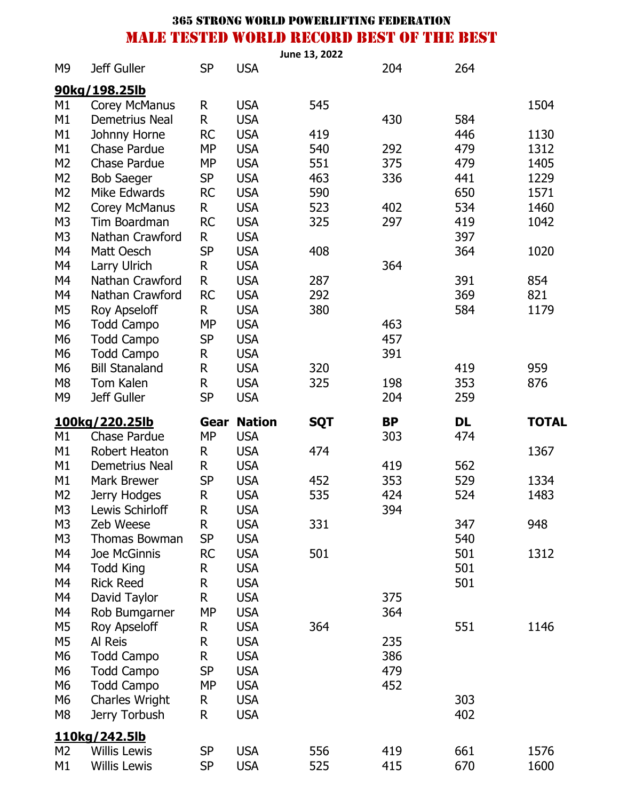|                |                                      |                   |                             | June 13, 2022 |                  |           |              |
|----------------|--------------------------------------|-------------------|-----------------------------|---------------|------------------|-----------|--------------|
| M <sub>9</sub> | Jeff Guller                          | <b>SP</b>         | <b>USA</b>                  |               | 204              | 264       |              |
|                | 90kg/198.25lb                        |                   |                             |               |                  |           |              |
| M1             | <b>Corey McManus</b>                 | R                 | <b>USA</b>                  | 545           |                  |           | 1504         |
| M1             | Demetrius Neal                       | R                 | <b>USA</b>                  |               | 430              | 584       |              |
| M1             | Johnny Horne                         | <b>RC</b>         | <b>USA</b>                  | 419           |                  | 446       | 1130         |
| M1             | <b>Chase Pardue</b>                  | <b>MP</b>         | <b>USA</b>                  | 540           | 292              | 479       | 1312         |
| M <sub>2</sub> | Chase Pardue                         | <b>MP</b>         | <b>USA</b>                  | 551           | 375              | 479       | 1405         |
| M <sub>2</sub> | <b>Bob Saeger</b>                    | <b>SP</b>         | <b>USA</b>                  | 463           | 336              | 441       | 1229         |
| M <sub>2</sub> | Mike Edwards                         | <b>RC</b>         | <b>USA</b>                  | 590           |                  | 650       | 1571         |
| M <sub>2</sub> | <b>Corey McManus</b>                 | R                 | <b>USA</b>                  | 523           | 402              | 534       | 1460         |
| M <sub>3</sub> | Tim Boardman                         | <b>RC</b>         | <b>USA</b>                  | 325           | 297              | 419       | 1042         |
| M <sub>3</sub> | Nathan Crawford                      | R                 | <b>USA</b>                  |               |                  | 397       |              |
| M4             | Matt Oesch                           | <b>SP</b>         | <b>USA</b>                  | 408           |                  | 364       | 1020         |
| M4             | Larry Ulrich                         | R                 | <b>USA</b>                  |               | 364              |           |              |
| M4             | Nathan Crawford                      | R                 | <b>USA</b>                  | 287           |                  | 391       | 854          |
| M4             | Nathan Crawford                      | <b>RC</b>         | <b>USA</b>                  | 292           |                  | 369       | 821          |
| M <sub>5</sub> | Roy Apseloff                         | R                 | <b>USA</b>                  | 380           |                  | 584       | 1179         |
| M6             | <b>Todd Campo</b>                    | <b>MP</b>         | <b>USA</b>                  |               | 463              |           |              |
| M <sub>6</sub> | <b>Todd Campo</b>                    | <b>SP</b>         | <b>USA</b>                  |               | 457              |           |              |
| M <sub>6</sub> | <b>Todd Campo</b>                    | R                 | <b>USA</b>                  |               | 391              |           |              |
| M <sub>6</sub> | <b>Bill Stanaland</b>                | R                 | <b>USA</b>                  | 320           |                  | 419       | 959          |
| M <sub>8</sub> | Tom Kalen                            | R                 | <b>USA</b>                  | 325           | 198              | 353       | 876          |
| M <sub>9</sub> | Jeff Guller                          | <b>SP</b>         | <b>USA</b>                  |               | 204              | 259       |              |
|                |                                      |                   |                             |               |                  |           |              |
|                |                                      |                   |                             |               |                  |           |              |
| M1             | 100kg/220.25lb<br>Chase Pardue       | Gear<br><b>MP</b> | <b>Nation</b><br><b>USA</b> | <b>SQT</b>    | <b>BP</b><br>303 | DL<br>474 | <b>TOTAL</b> |
| M1             | Robert Heaton                        | R                 | <b>USA</b>                  | 474           |                  |           | 1367         |
| M1             | Demetrius Neal                       | R                 |                             |               | 419              | 562       |              |
| M1             | <b>Mark Brewer</b>                   | <b>SP</b>         | <b>USA</b><br><b>USA</b>    | 452           | 353              | 529       | 1334         |
| M <sub>2</sub> | Jerry Hodges                         | R                 | <b>USA</b>                  | 535           | 424              | 524       | 1483         |
| M3             | Lewis Schirloff                      | R                 | <b>USA</b>                  |               | 394              |           |              |
| M <sub>3</sub> | Zeb Weese                            | R                 | <b>USA</b>                  | 331           |                  | 347       | 948          |
| M <sub>3</sub> | Thomas Bowman                        | <b>SP</b>         | <b>USA</b>                  |               |                  | 540       |              |
| M4             | Joe McGinnis                         | <b>RC</b>         | <b>USA</b>                  | 501           |                  | 501       | 1312         |
| M4             |                                      | R                 | <b>USA</b>                  |               |                  | 501       |              |
| M4             | <b>Todd King</b><br><b>Rick Reed</b> | R                 | <b>USA</b>                  |               |                  | 501       |              |
| M4             |                                      | R                 | <b>USA</b>                  |               | 375              |           |              |
| M4             | David Taylor                         | <b>MP</b>         | <b>USA</b>                  |               | 364              |           |              |
| M <sub>5</sub> | Rob Bumgarner<br><b>Roy Apseloff</b> | R                 | <b>USA</b>                  | 364           |                  | 551       | 1146         |
| M <sub>5</sub> | Al Reis                              | R                 | <b>USA</b>                  |               | 235              |           |              |
| M <sub>6</sub> | <b>Todd Campo</b>                    | R                 | <b>USA</b>                  |               | 386              |           |              |
| M6             | <b>Todd Campo</b>                    | <b>SP</b>         | <b>USA</b>                  |               | 479              |           |              |
| M6             | <b>Todd Campo</b>                    | <b>MP</b>         | <b>USA</b>                  |               | 452              |           |              |
| M6             | <b>Charles Wright</b>                | R                 | <b>USA</b>                  |               |                  | 303       |              |
| M <sub>8</sub> | Jerry Torbush                        | R                 | <b>USA</b>                  |               |                  | 402       |              |
|                |                                      |                   |                             |               |                  |           |              |
| M <sub>2</sub> | 110kg/242.5lb<br><b>Willis Lewis</b> | <b>SP</b>         | <b>USA</b>                  | 556           | 419              | 661       | 1576         |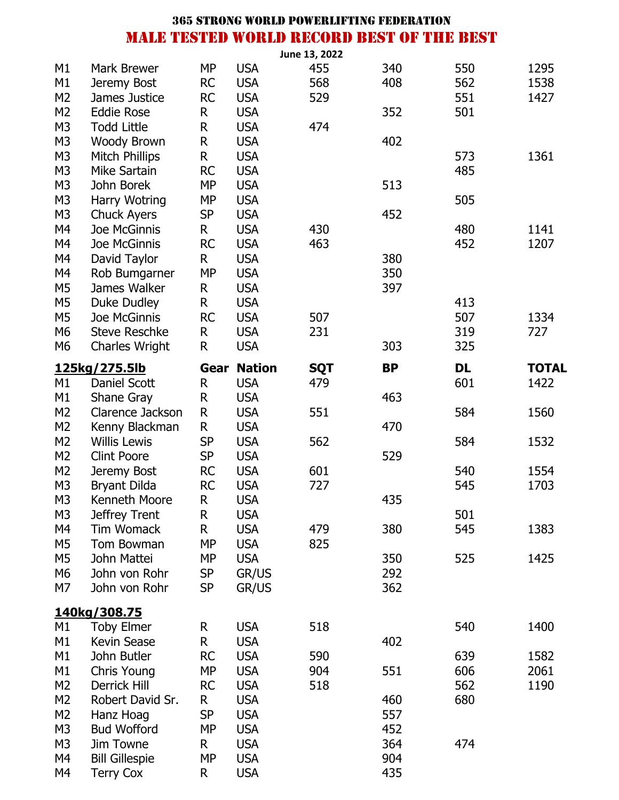|                |                               |              |               | June 13, 2022     |           |           |              |
|----------------|-------------------------------|--------------|---------------|-------------------|-----------|-----------|--------------|
| M1             | <b>Mark Brewer</b>            | <b>MP</b>    | <b>USA</b>    | 455               | 340       | 550       | 1295         |
| M1             | Jeremy Bost                   | <b>RC</b>    | <b>USA</b>    | 568               | 408       | 562       | 1538         |
| M <sub>2</sub> | James Justice                 | <b>RC</b>    | <b>USA</b>    | 529               |           | 551       | 1427         |
| M <sub>2</sub> | <b>Eddie Rose</b>             | R            | <b>USA</b>    |                   | 352       | 501       |              |
| M <sub>3</sub> | <b>Todd Little</b>            | $\mathsf R$  | <b>USA</b>    | 474               |           |           |              |
| M <sub>3</sub> | <b>Woody Brown</b>            | R            | <b>USA</b>    |                   | 402       |           |              |
| M <sub>3</sub> | <b>Mitch Phillips</b>         | $\mathsf R$  | <b>USA</b>    |                   |           | 573       | 1361         |
| M <sub>3</sub> | Mike Sartain                  | <b>RC</b>    | <b>USA</b>    |                   |           | 485       |              |
| M <sub>3</sub> | John Borek                    | <b>MP</b>    | <b>USA</b>    |                   | 513       |           |              |
| M <sub>3</sub> | Harry Wotring                 | <b>MP</b>    | <b>USA</b>    |                   |           | 505       |              |
| M <sub>3</sub> | <b>Chuck Ayers</b>            | <b>SP</b>    | <b>USA</b>    |                   | 452       |           |              |
| M4             | Joe McGinnis                  | R            | <b>USA</b>    | 430               |           | 480       | 1141         |
| M4             | Joe McGinnis                  | <b>RC</b>    | <b>USA</b>    | 463               |           | 452       | 1207         |
| M4             | David Taylor                  | R            | <b>USA</b>    |                   | 380       |           |              |
| M4             | Rob Bumgarner                 | <b>MP</b>    | <b>USA</b>    |                   | 350       |           |              |
| M <sub>5</sub> | James Walker                  | R            | <b>USA</b>    |                   | 397       |           |              |
| M <sub>5</sub> | Duke Dudley                   | R            | <b>USA</b>    |                   |           | 413       |              |
| M <sub>5</sub> | Joe McGinnis                  | <b>RC</b>    | <b>USA</b>    | 507               |           | 507       | 1334         |
| M <sub>6</sub> | <b>Steve Reschke</b>          | R            | <b>USA</b>    | 231               |           | 319       | 727          |
| M <sub>6</sub> | <b>Charles Wright</b>         | R            | <b>USA</b>    |                   | 303       | 325       |              |
|                |                               | Gear         | <b>Nation</b> |                   | <b>BP</b> | <b>DL</b> | <b>TOTAL</b> |
| M1             | 125kg/275.5lb<br>Daniel Scott | R            | <b>USA</b>    | <b>SQT</b><br>479 |           | 601       | 1422         |
| M1             | Shane Gray                    | R            | <b>USA</b>    |                   | 463       |           |              |
| M <sub>2</sub> | Clarence Jackson              | ${\sf R}$    | <b>USA</b>    | 551               |           | 584       | 1560         |
| M <sub>2</sub> | Kenny Blackman                | $\mathsf{R}$ | <b>USA</b>    |                   | 470       |           |              |
| M <sub>2</sub> | <b>Willis Lewis</b>           | <b>SP</b>    | <b>USA</b>    | 562               |           | 584       | 1532         |
| M <sub>2</sub> | <b>Clint Poore</b>            | <b>SP</b>    | <b>USA</b>    |                   | 529       |           |              |
| M <sub>2</sub> | Jeremy Bost                   | <b>RC</b>    | <b>USA</b>    | 601               |           | 540       | 1554         |
| M <sub>3</sub> | <b>Bryant Dilda</b>           | <b>RC</b>    | <b>USA</b>    | 727               |           | 545       | 1703         |
| M <sub>3</sub> | Kenneth Moore                 | R.           | <b>USA</b>    |                   | 435       |           |              |
| M <sub>3</sub> | Jeffrey Trent                 | R            | <b>USA</b>    |                   |           | 501       |              |
| M4             | <b>Tim Womack</b>             | R            | <b>USA</b>    | 479               | 380       | 545       | 1383         |
| M <sub>5</sub> | Tom Bowman                    | <b>MP</b>    | <b>USA</b>    | 825               |           |           |              |
| M <sub>5</sub> | John Mattei                   | <b>MP</b>    | <b>USA</b>    |                   | 350       | 525       | 1425         |
| M <sub>6</sub> | John von Rohr                 | <b>SP</b>    | GR/US         |                   | 292       |           |              |
| M7             | John von Rohr                 | <b>SP</b>    | GR/US         |                   | 362       |           |              |
|                |                               |              |               |                   |           |           |              |
|                | 140kg/308.75                  |              |               |                   |           |           |              |
| M1             | <b>Toby Elmer</b>             | R            | <b>USA</b>    | 518               |           | 540       | 1400         |
| M1             | Kevin Sease                   | R            | <b>USA</b>    |                   | 402       |           |              |
| M1             | John Butler                   | <b>RC</b>    | <b>USA</b>    | 590               |           | 639       | 1582         |
| M1             | Chris Young                   | <b>MP</b>    | <b>USA</b>    | 904               | 551       | 606       | 2061         |
| M <sub>2</sub> | Derrick Hill                  | <b>RC</b>    | <b>USA</b>    | 518               |           | 562       | 1190         |
| M <sub>2</sub> | Robert David Sr.              | R.           | <b>USA</b>    |                   | 460       | 680       |              |
| M <sub>2</sub> | Hanz Hoag                     | <b>SP</b>    | <b>USA</b>    |                   | 557       |           |              |
| M <sub>3</sub> | <b>Bud Wofford</b>            | <b>MP</b>    | <b>USA</b>    |                   | 452       |           |              |
| M <sub>3</sub> | Jim Towne                     | R            | <b>USA</b>    |                   | 364       | 474       |              |
| M4             | <b>Bill Gillespie</b>         | <b>MP</b>    | <b>USA</b>    |                   | 904       |           |              |
| M4             | <b>Terry Cox</b>              | R            | <b>USA</b>    |                   | 435       |           |              |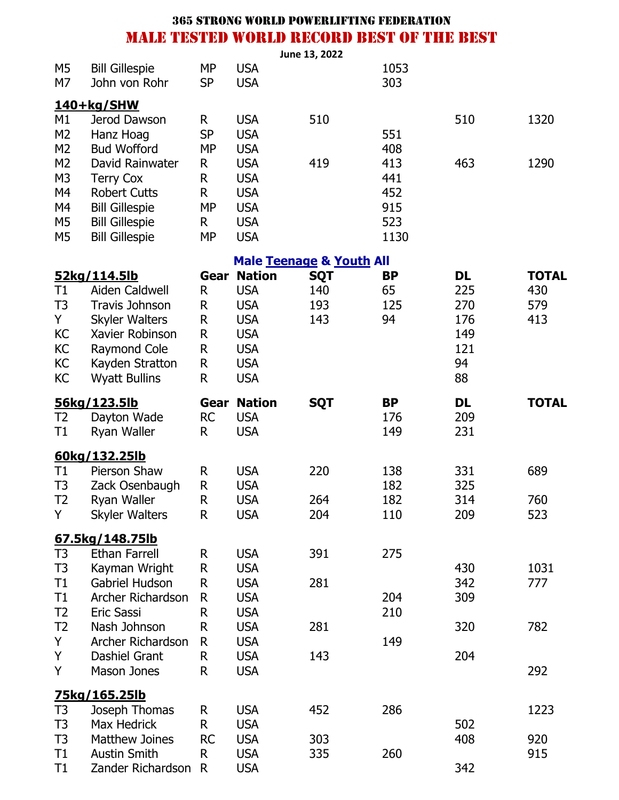|                                                                                  |                                                                                                                                                                |                                            |                                                                                                                 | June 13, 2022                       |                                         |                                                   |                                   |
|----------------------------------------------------------------------------------|----------------------------------------------------------------------------------------------------------------------------------------------------------------|--------------------------------------------|-----------------------------------------------------------------------------------------------------------------|-------------------------------------|-----------------------------------------|---------------------------------------------------|-----------------------------------|
| M <sub>5</sub><br>M7                                                             | <b>Bill Gillespie</b><br>John von Rohr                                                                                                                         | <b>MP</b><br><b>SP</b>                     | <b>USA</b><br><b>USA</b>                                                                                        |                                     | 1053<br>303                             |                                                   |                                   |
|                                                                                  | $140+kg/SHW$                                                                                                                                                   |                                            |                                                                                                                 |                                     |                                         |                                                   |                                   |
| M1<br>M <sub>2</sub><br>M <sub>2</sub>                                           | Jerod Dawson<br>Hanz Hoag<br><b>Bud Wofford</b>                                                                                                                | R<br><b>SP</b><br><b>MP</b>                | <b>USA</b><br><b>USA</b><br><b>USA</b>                                                                          | 510                                 | 551<br>408                              | 510                                               | 1320                              |
| M <sub>2</sub><br>M <sub>3</sub><br>M4<br>M4<br>M <sub>5</sub><br>M <sub>5</sub> | David Rainwater<br><b>Terry Cox</b><br><b>Robert Cutts</b><br><b>Bill Gillespie</b><br><b>Bill Gillespie</b><br><b>Bill Gillespie</b>                          | R<br>R<br>R<br><b>MP</b><br>R<br><b>MP</b> | <b>USA</b><br><b>USA</b><br><b>USA</b><br><b>USA</b><br><b>USA</b><br><b>USA</b>                                | 419                                 | 413<br>441<br>452<br>915<br>523<br>1130 | 463                                               | 1290                              |
|                                                                                  |                                                                                                                                                                |                                            |                                                                                                                 | <b>Male Teenage &amp; Youth All</b> |                                         |                                                   |                                   |
| T1<br>T <sub>3</sub><br>Y.<br>KC<br>KC<br>KC<br>KC                               | 52kg/114.5lb<br>Aiden Caldwell<br><b>Travis Johnson</b><br><b>Skyler Walters</b><br>Xavier Robinson<br>Raymond Cole<br>Kayden Stratton<br><b>Wyatt Bullins</b> | Gear<br>R<br>R<br>R<br>R<br>R<br>R<br>R    | <b>Nation</b><br><b>USA</b><br><b>USA</b><br><b>USA</b><br><b>USA</b><br><b>USA</b><br><b>USA</b><br><b>USA</b> | <b>SQT</b><br>140<br>193<br>143     | <b>BP</b><br>65<br>125<br>94            | DL<br>225<br>270<br>176<br>149<br>121<br>94<br>88 | <b>TOTAL</b><br>430<br>579<br>413 |
| T <sub>2</sub><br>T1                                                             | 56kg/123.5lb<br>Dayton Wade<br>Ryan Waller                                                                                                                     | Gear<br><b>RC</b><br>R                     | <b>Nation</b><br><b>USA</b><br><b>USA</b>                                                                       | <b>SQT</b>                          | <b>BP</b><br>176<br>149                 | <b>DL</b><br>209<br>231                           | <b>TOTAL</b>                      |
|                                                                                  | 60kg/132.25lb                                                                                                                                                  |                                            |                                                                                                                 |                                     |                                         |                                                   |                                   |
| T1<br>T <sub>3</sub><br>T <sub>2</sub>                                           | Pierson Shaw<br>Zack Osenbaugh<br>Ryan Waller                                                                                                                  | R<br>$\mathsf R$<br>R                      | <b>USA</b><br><b>USA</b><br><b>USA</b>                                                                          | 220<br>264                          | 138<br>182<br>182                       | 331<br>325<br>314                                 | 689<br>760                        |
| Y                                                                                | <b>Skyler Walters</b>                                                                                                                                          | R                                          | <b>USA</b>                                                                                                      | 204                                 | 110                                     | 209                                               | 523                               |
|                                                                                  |                                                                                                                                                                |                                            |                                                                                                                 |                                     |                                         |                                                   |                                   |
| T <sub>3</sub><br>T <sub>3</sub>                                                 | 67.5kg/148.75lb<br><b>Ethan Farrell</b><br>Kayman Wright                                                                                                       | R<br>R                                     | <b>USA</b><br><b>USA</b>                                                                                        | 391                                 | 275                                     | 430                                               | 1031                              |
| T1<br>T1<br>T <sub>2</sub>                                                       | <b>Gabriel Hudson</b><br>Archer Richardson<br>Eric Sassi                                                                                                       | R<br>R<br>R                                | <b>USA</b><br><b>USA</b><br><b>USA</b>                                                                          | 281                                 | 204<br>210                              | 342<br>309                                        | 777                               |
| T <sub>2</sub><br>Y                                                              | Nash Johnson<br>Archer Richardson                                                                                                                              | R<br>R                                     | <b>USA</b><br><b>USA</b>                                                                                        | 281                                 | 149                                     | 320                                               | 782                               |
| Y<br>Y                                                                           | Dashiel Grant<br><b>Mason Jones</b>                                                                                                                            | R<br>R                                     | <b>USA</b><br><b>USA</b>                                                                                        | 143                                 |                                         | 204                                               | 292                               |
|                                                                                  | 75kg/165.25lb                                                                                                                                                  |                                            |                                                                                                                 |                                     |                                         |                                                   |                                   |
| T <sub>3</sub><br>T <sub>3</sub>                                                 | Joseph Thomas<br>Max Hedrick                                                                                                                                   | R<br>R                                     | <b>USA</b><br><b>USA</b>                                                                                        | 452                                 | 286                                     | 502                                               | 1223                              |
| T <sub>3</sub>                                                                   | <b>Matthew Joines</b>                                                                                                                                          | <b>RC</b>                                  | <b>USA</b>                                                                                                      | 303                                 |                                         | 408                                               | 920                               |
| T1<br>T1                                                                         | <b>Austin Smith</b><br>Zander Richardson R                                                                                                                     | R                                          | <b>USA</b><br><b>USA</b>                                                                                        | 335                                 | 260                                     | 342                                               | 915                               |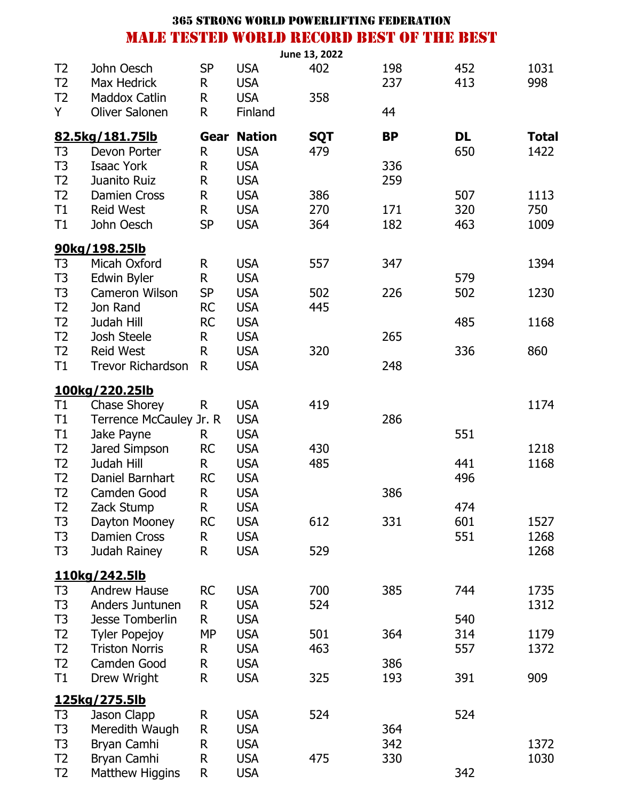|                |                          |           |               | June 13, 2022 |           |           |              |
|----------------|--------------------------|-----------|---------------|---------------|-----------|-----------|--------------|
| T <sub>2</sub> | John Oesch               | <b>SP</b> | <b>USA</b>    | 402           | 198       | 452       | 1031         |
| T <sub>2</sub> | Max Hedrick              | R         | <b>USA</b>    |               | 237       | 413       | 998          |
| T <sub>2</sub> | <b>Maddox Catlin</b>     | R         | <b>USA</b>    | 358           |           |           |              |
| Y              | <b>Oliver Salonen</b>    | R         | Finland       |               | 44        |           |              |
|                | 82.5kg/181.75lb          | Gear      | <b>Nation</b> | <b>SQT</b>    | <b>BP</b> | <b>DL</b> | <b>Total</b> |
| T <sub>3</sub> | Devon Porter             | R         | <b>USA</b>    | 479           |           | 650       | 1422         |
| T <sub>3</sub> | <b>Isaac York</b>        | R         | <b>USA</b>    |               | 336       |           |              |
| T <sub>2</sub> | Juanito Ruiz             | R         | <b>USA</b>    |               | 259       |           |              |
| T <sub>2</sub> | <b>Damien Cross</b>      | R         | <b>USA</b>    | 386           |           | 507       | 1113         |
| T1             | <b>Reid West</b>         | R         | <b>USA</b>    | 270           | 171       | 320       | 750          |
| T1             | John Oesch               | <b>SP</b> | <b>USA</b>    | 364           | 182       | 463       | 1009         |
|                | 90kg/198.25lb            |           |               |               |           |           |              |
| T <sub>3</sub> | Micah Oxford             | R         | <b>USA</b>    | 557           | 347       |           | 1394         |
| T <sub>3</sub> | Edwin Byler              | R         | <b>USA</b>    |               |           | 579       |              |
| T <sub>3</sub> | <b>Cameron Wilson</b>    | <b>SP</b> | <b>USA</b>    | 502           | 226       | 502       | 1230         |
| T2             | Jon Rand                 | <b>RC</b> | <b>USA</b>    | 445           |           |           |              |
| T <sub>2</sub> | Judah Hill               | <b>RC</b> | <b>USA</b>    |               |           | 485       | 1168         |
| T <sub>2</sub> | Josh Steele              | R         | <b>USA</b>    |               | 265       |           |              |
| T <sub>2</sub> | <b>Reid West</b>         | R         | <b>USA</b>    | 320           |           | 336       | 860          |
| T1             | <b>Trevor Richardson</b> | R         | <b>USA</b>    |               | 248       |           |              |
|                | 100kg/220.25lb           |           |               |               |           |           |              |
| T1             | <b>Chase Shorey</b>      | R         | <b>USA</b>    | 419           |           |           | 1174         |
| T1             | Terrence McCauley Jr. R  |           | <b>USA</b>    |               | 286       |           |              |
| T1             | Jake Payne               | R.        | <b>USA</b>    |               |           | 551       |              |
| T <sub>2</sub> | Jared Simpson            | <b>RC</b> | <b>USA</b>    | 430           |           |           | 1218         |
| T <sub>2</sub> | Judah Hill               | R.        | <b>USA</b>    | 485           |           | 441       | 1168         |
| T <sub>2</sub> | Daniel Barnhart          | <b>RC</b> | <b>USA</b>    |               |           | 496       |              |
| T <sub>2</sub> | Camden Good              | R         | <b>USA</b>    |               | 386       |           |              |
| T2             | Zack Stump               | R         | <b>USA</b>    |               |           | 474       |              |
| T <sub>3</sub> | Dayton Mooney            | <b>RC</b> | <b>USA</b>    | 612           | 331       | 601       | 1527         |
| T <sub>3</sub> | <b>Damien Cross</b>      | R         | <b>USA</b>    |               |           | 551       | 1268         |
| T <sub>3</sub> | Judah Rainey             | R         | <b>USA</b>    | 529           |           |           | 1268         |
|                | 110kg/242.5lb            |           |               |               |           |           |              |
| T <sub>3</sub> | <b>Andrew Hause</b>      | <b>RC</b> | <b>USA</b>    | 700           | 385       | 744       | 1735         |
| T <sub>3</sub> | Anders Juntunen          | R         | <b>USA</b>    | 524           |           |           | 1312         |
| T <sub>3</sub> | <b>Jesse Tomberlin</b>   | R         | <b>USA</b>    |               |           | 540       |              |
| T <sub>2</sub> | <b>Tyler Popejoy</b>     | <b>MP</b> | <b>USA</b>    | 501           | 364       | 314       | 1179         |
| T <sub>2</sub> | <b>Triston Norris</b>    | R         | <b>USA</b>    | 463           |           | 557       | 1372         |
| T <sub>2</sub> | Camden Good              | R         | <b>USA</b>    |               | 386       |           |              |
| T1             | Drew Wright              | R         | <b>USA</b>    | 325           | 193       | 391       | 909          |
|                | 125kg/275.5lb            |           |               |               |           |           |              |
| T <sub>3</sub> | Jason Clapp              | R         | <b>USA</b>    | 524           |           | 524       |              |
| T <sub>3</sub> | Meredith Waugh           | R         | <b>USA</b>    |               | 364       |           |              |
| T <sub>3</sub> | Bryan Camhi              | R         | <b>USA</b>    |               | 342       |           | 1372         |
| T <sub>2</sub> | Bryan Camhi              | R         | <b>USA</b>    | 475           | 330       |           | 1030         |
| T <sub>2</sub> | Matthew Higgins          | R         | <b>USA</b>    |               |           | 342       |              |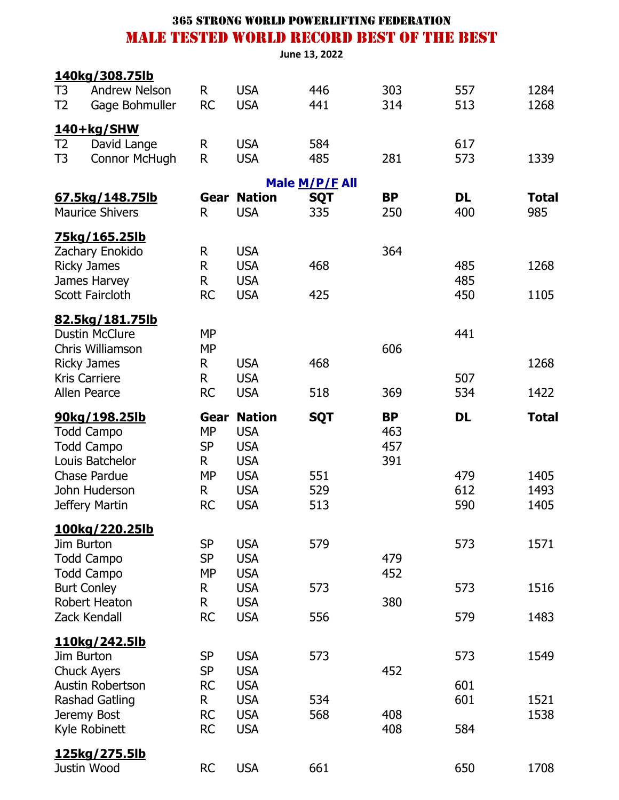|  | <b>365 STRONG WORLD POWERLIFTING FEDERATION</b> |  |  |
|--|-------------------------------------------------|--|--|
|  | MALE TESTED WORLD RECORD BEST OF THE BEST       |  |  |

|                                             |                                        |                        |                          | June 13, 2022  |            |            |              |
|---------------------------------------------|----------------------------------------|------------------------|--------------------------|----------------|------------|------------|--------------|
|                                             | <u>140kg/308.75lb</u>                  |                        |                          |                |            |            |              |
| T <sub>3</sub><br>T <sub>2</sub>            | <b>Andrew Nelson</b><br>Gage Bohmuller | R.<br><b>RC</b>        | <b>USA</b><br><b>USA</b> | 446<br>441     | 303<br>314 | 557<br>513 | 1284<br>1268 |
|                                             |                                        |                        |                          |                |            |            |              |
|                                             | <u>140+kg/SHW</u>                      |                        |                          |                |            |            |              |
| T <sub>2</sub><br>T <sub>3</sub>            | David Lange<br><b>Connor McHugh</b>    | $\mathsf{R}$<br>R      | <b>USA</b><br><b>USA</b> | 584<br>485     | 281        | 617<br>573 | 1339         |
|                                             |                                        |                        |                          |                |            |            |              |
|                                             |                                        |                        |                          | Male M/P/F All |            |            |              |
|                                             | <u>67.5kg/148.75lb</u>                 | Gear                   | <b>Nation</b>            | <b>SQT</b>     | <b>BP</b>  | <b>DL</b>  | <b>Total</b> |
|                                             | <b>Maurice Shivers</b>                 | R.                     | <b>USA</b>               | 335            | 250        | 400        | 985          |
|                                             | <u>75kg/165.25lb</u>                   |                        |                          |                |            |            |              |
|                                             | Zachary Enokido                        | $\mathsf{R}$           | <b>USA</b>               |                | 364        |            |              |
| <b>Ricky James</b>                          |                                        | R                      | <b>USA</b>               | 468            |            | 485        | 1268         |
|                                             | James Harvey<br><b>Scott Faircloth</b> | R<br><b>RC</b>         | <b>USA</b><br><b>USA</b> | 425            |            | 485<br>450 | 1105         |
|                                             |                                        |                        |                          |                |            |            |              |
|                                             | 82.5kg/181.75lb                        |                        |                          |                |            |            |              |
|                                             | <b>Dustin McClure</b>                  | <b>MP</b>              |                          |                |            | 441        |              |
|                                             | Chris Williamson                       | <b>MP</b>              |                          |                | 606        |            |              |
| <b>Ricky James</b>                          |                                        | R                      | <b>USA</b>               | 468            |            |            | 1268         |
| <b>Kris Carriere</b><br><b>Allen Pearce</b> |                                        | R<br><b>RC</b>         | <b>USA</b><br><b>USA</b> | 518            | 369        | 507<br>534 | 1422         |
|                                             |                                        |                        |                          |                |            |            |              |
|                                             | 90kg/198.25lb                          | Gear                   | <b>Nation</b>            | <b>SQT</b>     | <b>BP</b>  | <b>DL</b>  | <b>Total</b> |
|                                             |                                        |                        |                          |                |            |            |              |
|                                             | <b>Todd Campo</b>                      | <b>MP</b>              | <b>USA</b>               |                | 463        |            |              |
|                                             | <b>Todd Campo</b>                      | <b>SP</b>              | <b>USA</b>               |                | 457        |            |              |
|                                             | Louis Batchelor                        | R.                     | <b>USA</b>               |                | 391        |            |              |
|                                             | <b>Chase Pardue</b>                    | <b>MP</b>              | <b>USA</b>               | 551            |            | 479        | 1405         |
|                                             | John Huderson                          | R                      | <b>USA</b>               | 529            |            | 612        | 1493         |
|                                             | Jeffery Martin                         | <b>RC</b>              | <b>USA</b>               | 513            |            | 590        | 1405         |
|                                             | <u>100kg/220.25lb</u>                  |                        |                          |                |            |            |              |
| Jim Burton                                  |                                        | <b>SP</b>              | <b>USA</b>               | 579            |            | 573        | 1571         |
|                                             | <b>Todd Campo</b>                      | <b>SP</b>              | <b>USA</b>               |                | 479        |            |              |
|                                             | <b>Todd Campo</b>                      | <b>MP</b>              | <b>USA</b>               |                | 452        |            |              |
| <b>Burt Conley</b>                          |                                        | R                      | <b>USA</b>               | 573            |            | 573        | 1516         |
|                                             | Robert Heaton<br>Zack Kendall          | R<br><b>RC</b>         | <b>USA</b><br><b>USA</b> | 556            | 380        | 579        | 1483         |
|                                             |                                        |                        |                          |                |            |            |              |
|                                             | <u>110kg/242.5lb</u>                   |                        |                          |                |            |            |              |
| Jim Burton                                  |                                        | <b>SP</b>              | <b>USA</b>               | 573            |            | 573        | 1549         |
|                                             | <b>Chuck Ayers</b><br>Austin Robertson | <b>SP</b><br><b>RC</b> | <b>USA</b><br><b>USA</b> |                | 452        | 601        |              |
|                                             | <b>Rashad Gatling</b>                  | R                      | <b>USA</b>               | 534            |            | 601        | 1521         |
|                                             | Jeremy Bost                            | <b>RC</b>              | <b>USA</b>               | 568            | 408        |            | 1538         |
|                                             | Kyle Robinett                          | <b>RC</b>              | <b>USA</b>               |                | 408        | 584        |              |
|                                             | <u>125kg/275.5lb</u>                   |                        |                          |                |            |            |              |